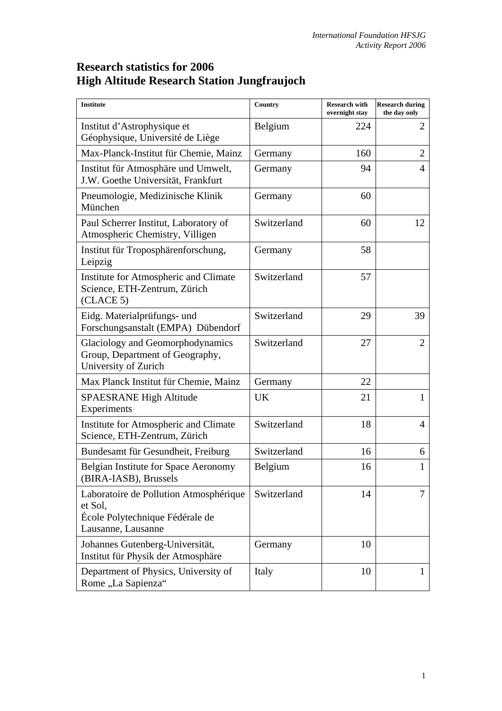## **Research statistics for 2006 High Altitude Research Station Jungfraujoch**

| <b>Institute</b>                                                                                           | Country     | <b>Research with</b><br>overnight stay | <b>Research during</b><br>the day only |
|------------------------------------------------------------------------------------------------------------|-------------|----------------------------------------|----------------------------------------|
| Institut d'Astrophysique et<br>Géophysique, Université de Liège                                            | Belgium     | 224                                    | $\overline{2}$                         |
| Max-Planck-Institut für Chemie, Mainz                                                                      | Germany     | 160                                    | $\overline{2}$                         |
| Institut für Atmosphäre und Umwelt,<br>J.W. Goethe Universität, Frankfurt                                  | Germany     | 94                                     | $\overline{4}$                         |
| Pneumologie, Medizinische Klinik<br>München                                                                | Germany     | 60                                     |                                        |
| Paul Scherrer Institut, Laboratory of<br>Atmospheric Chemistry, Villigen                                   | Switzerland | 60                                     | 12                                     |
| Institut für Troposphärenforschung,<br>Leipzig                                                             | Germany     | 58                                     |                                        |
| Institute for Atmospheric and Climate<br>Science, ETH-Zentrum, Zürich<br>(CLACE 5)                         | Switzerland | 57                                     |                                        |
| Eidg. Materialprüfungs- und<br>Forschungsanstalt (EMPA) Dübendorf                                          | Switzerland | 29                                     | 39                                     |
| Glaciology and Geomorphodynamics<br>Group, Department of Geography,<br>University of Zurich                | Switzerland | 27                                     | $\overline{2}$                         |
| Max Planck Institut für Chemie, Mainz                                                                      | Germany     | 22                                     |                                        |
| <b>SPAESRANE High Altitude</b><br>Experiments                                                              | UK          | 21                                     | 1                                      |
| Institute for Atmospheric and Climate<br>Science, ETH-Zentrum, Zürich                                      | Switzerland | 18                                     | $\overline{4}$                         |
| Bundesamt für Gesundheit, Freiburg                                                                         | Switzerland | 16                                     | 6                                      |
| Belgian Institute for Space Aeronomy<br>(BIRA-IASB), Brussels                                              | Belgium     | 16                                     |                                        |
| Laboratoire de Pollution Atmosphérique<br>et Sol,<br>École Polytechnique Fédérale de<br>Lausanne, Lausanne | Switzerland | 14                                     | 7                                      |
| Johannes Gutenberg-Universität,<br>Institut für Physik der Atmosphäre                                      | Germany     | 10                                     |                                        |
| Department of Physics, University of<br>Rome "La Sapienza"                                                 | Italy       | 10                                     | 1                                      |